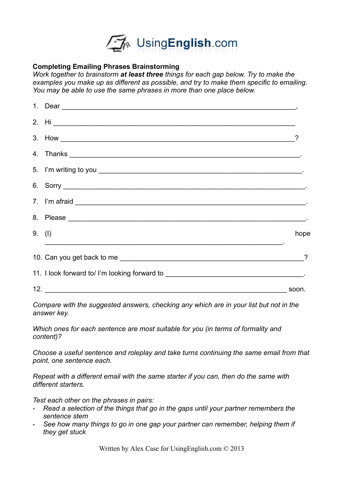

## **Completing Emailing Phrases Brainstorming**

*Work together to brainstorm at least three things for each gap below. Try to make the examples you make up as different as possible, and try to make them specific to emailing. You may be able to use the same phrases in more than one place below.* 

| 6. Sorry $\overline{\phantom{a}}$                                                |              |
|----------------------------------------------------------------------------------|--------------|
|                                                                                  |              |
|                                                                                  |              |
| 9. (1)<br><u> 1999 - Johann Stoff, amerikansk politiker (d. 1989)</u>            | hope         |
|                                                                                  |              |
| 11. I look forward to/ I'm looking forward to __________________________________ |              |
|                                                                                  | $\sim$ soon. |

*Compare with the suggested answers, checking any which are in your list but not in the answer key.* 

*Which ones for each sentence are most suitable for you (in terms of formality and content)?*

*Choose a useful sentence and roleplay and take turns continuing the same email from that point, one sentence each.*

*Repeat with a different email with the same starter if you can, then do the same with different starters.* 

*Test each other on the phrases in pairs:*

- *Read a selection of the things that go in the gaps until your partner remembers the sentence stem*
- *See how many things to go in one gap your partner can remember, helping them if they get stuck*

Written by Alex Case for UsingEnglish.com © 2013